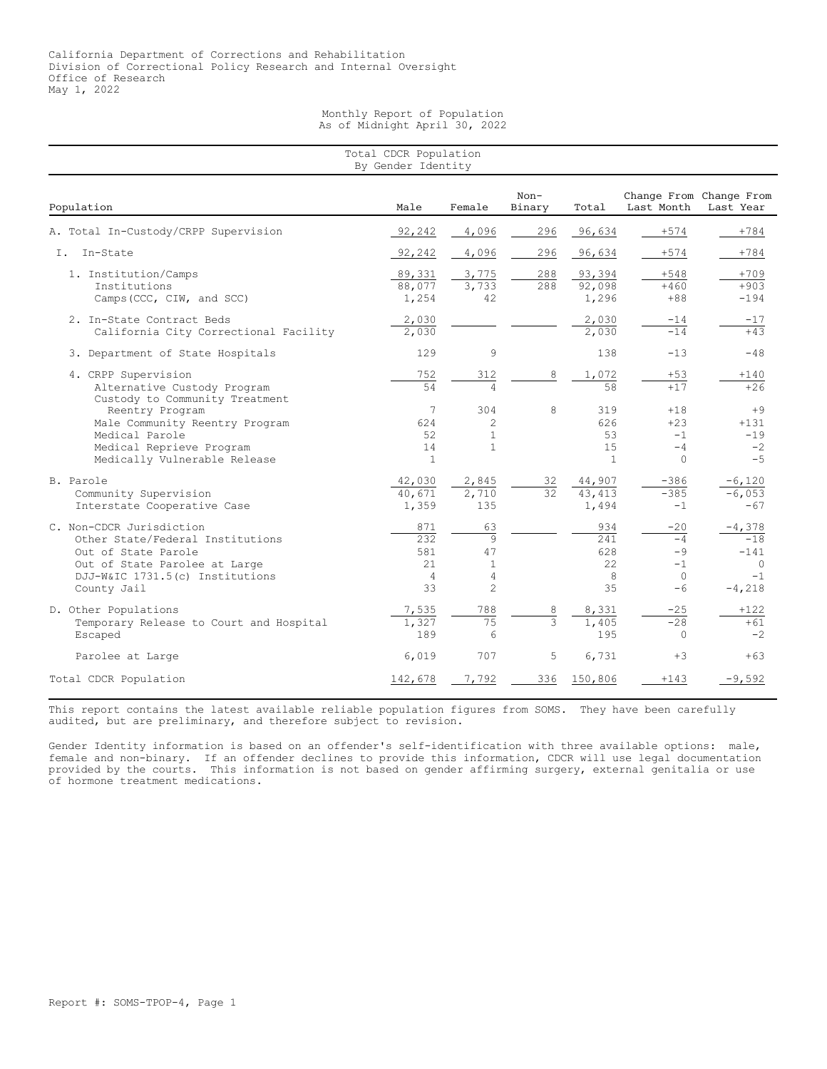Monthly Report of Population As of Midnight April 30, 2022

| Total CDCR Population<br>By Gender Identity                                                                                                                            |                                                  |                                                                 |                  |                                        |                                                  |                                                             |  |  |
|------------------------------------------------------------------------------------------------------------------------------------------------------------------------|--------------------------------------------------|-----------------------------------------------------------------|------------------|----------------------------------------|--------------------------------------------------|-------------------------------------------------------------|--|--|
| Population                                                                                                                                                             | Male                                             | Female                                                          | $Non-$<br>Binary | Total                                  | Last Month                                       | Change From Change From<br>Last Year                        |  |  |
| A. Total In-Custody/CRPP Supervision                                                                                                                                   | 92,242                                           | 4,096                                                           | 296              | 96,634                                 | $+574$                                           | $+784$                                                      |  |  |
| Tn-State<br>Ι.                                                                                                                                                         | 92,242                                           | 4,096                                                           | 296              | 96,634                                 | $+574$                                           | $+784$                                                      |  |  |
| 1. Institution/Camps<br>Institutions<br>Camps (CCC, CIW, and SCC)                                                                                                      | 89,331<br>88,077<br>1,254                        | 3,775<br>3,733<br>42                                            | 288<br>288       | 93,394<br>92,098<br>1,296              | $+548$<br>$+460$<br>$+88$                        | $+709$<br>$+903$<br>$-194$                                  |  |  |
| 2. In-State Contract Beds<br>California City Correctional Facility                                                                                                     | 2,030<br>2,030                                   |                                                                 |                  | 2,030<br>2,030                         | -14<br>$-14$                                     | $-17$<br>$+4.3$                                             |  |  |
| 3. Department of State Hospitals                                                                                                                                       | 129                                              | 9                                                               |                  | 138                                    | $-13$                                            | $-48$                                                       |  |  |
| 4. CRPP Supervision<br>Alternative Custody Program<br>Custody to Community Treatment                                                                                   | 752<br>54                                        | 312                                                             | 8                | 1,072<br>58                            | $+53$<br>$+17$                                   | $+140$<br>$+26$                                             |  |  |
| Reentry Program<br>Male Community Reentry Program<br>Medical Parole<br>Medical Reprieve Program<br>Medically Vulnerable Release                                        | 7<br>624<br>52<br>14<br>$\mathbf{1}$             | 304<br>2<br>$\mathbf{1}$<br>$\mathbf{1}$                        | 8                | 319<br>626<br>53<br>15<br>$\mathbf{1}$ | $+18$<br>$+23$<br>$-1$<br>$-4$<br>$\Omega$       | $+9$<br>$+131$<br>$-19$<br>$-2$<br>$-5$                     |  |  |
| B. Parole<br>Community Supervision<br>Interstate Cooperative Case                                                                                                      | 42,030<br>40,671<br>1,359                        | 2,845<br>2,710<br>135                                           | 32<br>32         | 44,907<br>43, 413<br>1,494             | $-386$<br>$-385$<br>$-1$                         | $-6,120$<br>$-6,053$<br>$-67$                               |  |  |
| C. Non-CDCR Jurisdiction<br>Other State/Federal Institutions<br>Out of State Parole<br>Out of State Parolee at Large<br>DJJ-W&IC 1731.5(c) Institutions<br>County Jail | 871<br>232<br>581<br>2.1<br>$\overline{4}$<br>33 | 63<br>$\mathbf{Q}$<br>47<br>$\mathbf{1}$<br>4<br>$\overline{c}$ |                  | 934<br>241<br>628<br>22<br>8<br>35     | $-20$<br>$-4$<br>$-9$<br>$-1$<br>$\circ$<br>$-6$ | $-4,378$<br>$-18$<br>$-141$<br>$\Omega$<br>$-1$<br>$-4,218$ |  |  |
| D. Other Populations<br>Temporary Release to Court and Hospital<br>Escaped                                                                                             | 7,535<br>1,327<br>189                            | 788<br>$\overline{75}$<br>6                                     | 8<br>3           | 8,331<br>1,405<br>195                  | $-25$<br>$-28$<br>$\circ$                        | $+122$<br>$+61$<br>$-2$                                     |  |  |
| Parolee at Large                                                                                                                                                       | 6,019                                            | 707                                                             | 5                | 6,731                                  | $+3$                                             | $+63$                                                       |  |  |
| Total CDCR Population                                                                                                                                                  | 142,678                                          | 7,792                                                           | 336              | 150,806                                | $+143$                                           | $-9,592$                                                    |  |  |

This report contains the latest available reliable population figures from SOMS. They have been carefully audited, but are preliminary, and therefore subject to revision.

Gender Identity information is based on an offender's self-identification with three available options: male, female and non-binary. If an offender declines to provide this information, CDCR will use legal documentation provided by the courts. This information is not based on gender affirming surgery, external genitalia or use of hormone treatment medications.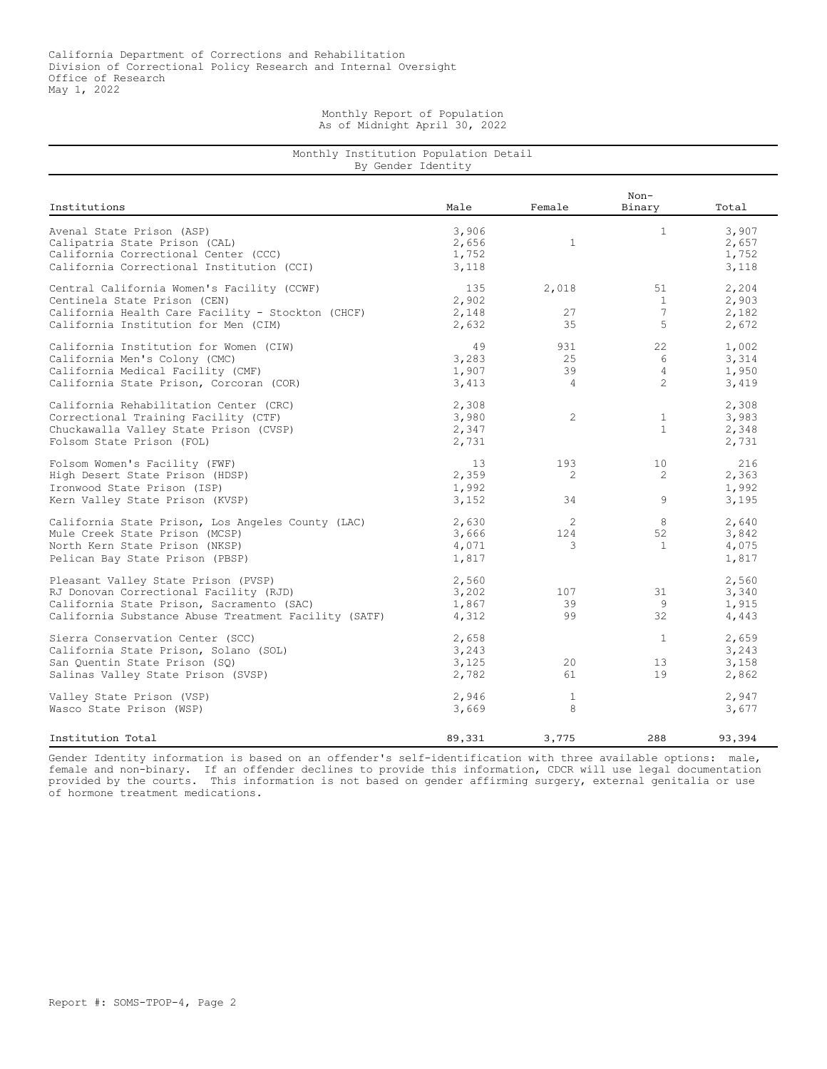## Monthly Report of Population As of Midnight April 30, 2022

## Monthly Institution Population Detail By Gender Identity

|                                                                                                                                                                                    |                                  |                                    | $Non-$                                      |                                  |
|------------------------------------------------------------------------------------------------------------------------------------------------------------------------------------|----------------------------------|------------------------------------|---------------------------------------------|----------------------------------|
| Institutions                                                                                                                                                                       | Male                             | Female                             | Binary                                      | Total                            |
| Avenal State Prison (ASP)<br>Calipatria State Prison (CAL)<br>California Correctional Center (CCC)<br>California Correctional Institution (CCI)                                    | 3,906<br>2,656<br>1,752<br>3,118 | 1                                  | $\mathbf{1}$                                | 3,907<br>2,657<br>1,752<br>3,118 |
| Central California Women's Facility (CCWF)<br>Centinela State Prison (CEN)<br>California Health Care Facility - Stockton (CHCF)<br>California Institution for Men (CIM)            | 135<br>2,902<br>2,148<br>2,632   | 2,018<br>27<br>35                  | 51<br>$\mathbf{1}$<br>$\overline{7}$<br>5   | 2,204<br>2,903<br>2,182<br>2,672 |
| California Institution for Women (CIW)<br>California Men's Colony (CMC)<br>California Medical Facility (CMF)<br>California State Prison, Corcoran (COR)                            | 49<br>3,283<br>1,907<br>3,413    | 931<br>2.5<br>39<br>$\overline{4}$ | 22<br>6<br>$\overline{4}$<br>$\overline{c}$ | 1,002<br>3,314<br>1,950<br>3,419 |
| California Rehabilitation Center (CRC)<br>Correctional Training Facility (CTF)<br>Chuckawalla Valley State Prison (CVSP)<br>Folsom State Prison (FOL)                              | 2,308<br>3,980<br>2,347<br>2,731 | 2                                  | $\mathbf{1}$<br>$\mathbf{1}$                | 2,308<br>3,983<br>2,348<br>2,731 |
| Folsom Women's Facility (FWF)<br>High Desert State Prison (HDSP)<br>Ironwood State Prison (ISP)<br>Kern Valley State Prison (KVSP)                                                 | 13<br>2,359<br>1,992<br>3,152    | 193<br>2<br>34                     | 10<br>2<br>9                                | 216<br>2,363<br>1,992<br>3,195   |
| California State Prison, Los Angeles County (LAC)<br>Mule Creek State Prison (MCSP)<br>North Kern State Prison (NKSP)<br>Pelican Bay State Prison (PBSP)                           | 2,630<br>3,666<br>4,071<br>1,817 | $\mathfrak{D}$<br>124<br>3         | 8<br>52<br>$\mathbf{1}$                     | 2,640<br>3,842<br>4,075<br>1,817 |
| Pleasant Valley State Prison (PVSP)<br>RJ Donovan Correctional Facility (RJD)<br>California State Prison, Sacramento (SAC)<br>California Substance Abuse Treatment Facility (SATF) | 2,560<br>3,202<br>1,867<br>4,312 | 107<br>39<br>99                    | 31<br>9<br>32                               | 2,560<br>3,340<br>1,915<br>4,443 |
| Sierra Conservation Center (SCC)<br>California State Prison, Solano (SOL)<br>San Ouentin State Prison (SO)<br>Salinas Valley State Prison (SVSP)                                   | 2,658<br>3,243<br>3,125<br>2,782 | 20<br>61                           | $\mathbf{1}$<br>13<br>19                    | 2,659<br>3,243<br>3,158<br>2,862 |
| Valley State Prison (VSP)<br>Wasco State Prison (WSP)                                                                                                                              | 2,946<br>3,669                   | 1<br>8                             |                                             | 2,947<br>3,677                   |
| Institution Total                                                                                                                                                                  | 89,331                           | 3,775                              | 288                                         | 93,394                           |

Gender Identity information is based on an offender's self-identification with three available options: male, female and non-binary. If an offender declines to provide this information, CDCR will use legal documentation provided by the courts. This information is not based on gender affirming surgery, external genitalia or use of hormone treatment medications.